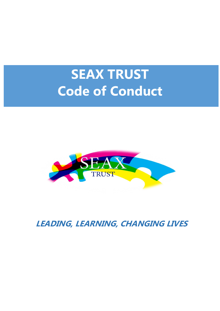# **SEAX TRUST Code of Conduct**



**LEADING, LEARNING, CHANGING LIVES**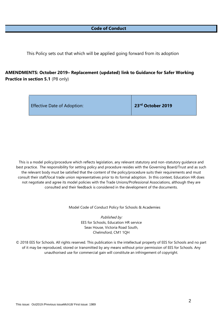# **Code of Conduct**

This Policy sets out that which will be applied going forward from its adoption

# **AMENDMENTS: October 2019– Replacement (updated) link to Guidance for Safer Working Practice in section 5.1** (P8 only)

| $\vert$ 23 <sup>rd</sup> October 2019<br><b>Effective Date of Adoption:</b> |  |
|-----------------------------------------------------------------------------|--|
|-----------------------------------------------------------------------------|--|

This is a model policy/procedure which reflects legislation, any relevant statutory and non-statutory guidance and best practice. The responsibility for setting policy and procedure resides with the Governing Board/Trust and as such the relevant body must be satisfied that the content of the policy/procedure suits their requirements and must consult their staff/local trade union representatives prior to its formal adoption. In this context, Education HR does not negotiate and agree its model policies with the Trade Unions/Professional Associations, although they are consulted and their feedback is considered in the development of the documents.

Model Code of Conduct Policy for Schools & Academies

Published by: EES for Schools, Education HR service Seax House, Victoria Road South, Chelmsford, CM1 1QH

© 2018 EES for Schools. All rights reserved. This publication is the intellectual property of EES for Schools and no part of it may be reproduced, stored or transmitted by any means without prior permission of EES for Schools. Any unauthorised use for commercial gain will constitute an infringement of copyright.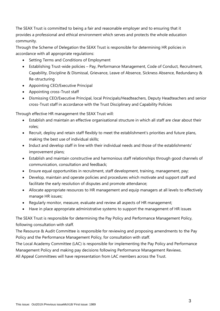The SEAX Trust is committed to being a fair and reasonable employer and to ensuring that it provides a professional and ethical environment which serves and protects the whole education community.

Through the Scheme of Delegation the SEAX Trust is responsible for determining HR policies in accordance with all appropriate regulations:

- Setting Terms and Conditions of Employment
- Establishing Trust-wide policies Pay, Performance Management, Code of Conduct, Recruitment, Capability, Discipline & Dismissal, Grievance, Leave of Absence, Sickness Absence, Redundancy & Re-structuring
- Appointing CEO/Executive Principal
- Appointing cross-Trust staff
- Dismissing CEO/Executive Principal, local Principals/Headteachers, Deputy Headteachers and senior cross-Trust staff in accordance with the Trust Disciplinary and Capability Policies

Through effective HR management the SEAX Trust will:

- Establish and maintain an effective organisational structure in which all staff are clear about their roles;
- Recruit, deploy and retain staff flexibly to meet the establishment's priorities and future plans, making the best use of individual skills;
- Induct and develop staff in line with their individual needs and those of the establishments' improvement plans;
- Establish and maintain constructive and harmonious staff relationships through good channels of communication, consultation and feedback;
- Ensure equal opportunities in recruitment, staff development, training, management, pay;
- Develop, maintain and operate policies and procedures which motivate and support staff and facilitate the early resolution of disputes and promote attendance;
- Allocate appropriate resources to HR management and equip managers at all levels to effectively manage HR issues;
- Regularly monitor, measure, evaluate and review all aspects of HR management;
- Have in place appropriate administrative systems to support the management of HR issues

The SEAX Trust is responsible for determining the Pay Policy and Performance Management Policy, following consultation with staff.

The Resource & Audit Committee is responsible for reviewing and proposing amendments to the Pay Policy and the Performance Management Policy, for consultation with staff.

The Local Academy Committee (LAC) is responsible for implementing the Pay Policy and Performance Management Policy and making pay decisions following Performance Management Reviews.

All Appeal Committees will have representation from LAC members across the Trust.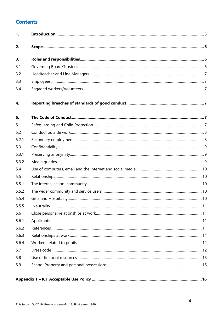# **Contents**

| 1.    |  |
|-------|--|
| 2.    |  |
| 3.    |  |
| 3.1   |  |
| 3.2   |  |
| 3.3   |  |
| 3.4   |  |
| 4.    |  |
| 5.    |  |
| 5.1   |  |
| 5.2   |  |
| 5.2.1 |  |
| 5.3   |  |
| 5.3.1 |  |
| 5.3.2 |  |
| 5.4   |  |
| 5.5   |  |
| 5.5.1 |  |
| 5.5.2 |  |
| 5.5.4 |  |
| 5.5.5 |  |
| 5.6   |  |
| 5.6.1 |  |
| 5.6.2 |  |
| 5.6.3 |  |
| 5.6.4 |  |
| 5.7   |  |
| 5.8   |  |
| 5.9   |  |
|       |  |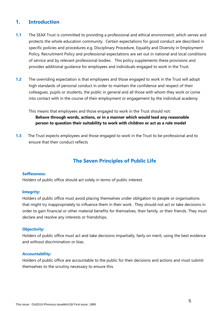# **1. Introduction**

- **1.1** The SEAX Trust is committed to providing a professional and ethical environment, which serves and protects the whole education community. Certain expectations for good conduct are described in specific policies and procedures e.g. Disciplinary Procedure, Equality and Diversity in Employment Policy, Recruitment Policy and professional expectations are set out in national and local conditions of service and by relevant professional bodies. This policy supplements these provisions and provides additional guidance for employees and individuals engaged to work in the Trust.
- **1.2** The overriding expectation is that employees and those engaged to work in the Trust will adopt high standards of personal conduct in order to maintain the confidence and respect of their colleagues, pupils or students, the public in general and all those with whom they work or come into contact with in the course of their employment or engagement by the individual academy.

This means that employees and those engaged to work in the Trust should not: **Behave through words, actions, or in a manner which would lead any reasonable person to question their suitability to work with children or act as a role model**

**1.3** The Trust expects employees and those engaged to work in the Trust to be professional and to ensure that their conduct reflects

# **The Seven Principles of Public Life**

#### **Selflessness:**

Holders of public office should act solely in terms of public interest.

#### **Integrity:**

Holders of public office must avoid placing themselves under obligation to people or organisations that might try inappropriately to influence them in their work. They should not act or take decisions in order to gain financial or other material benefits for themselves, their family, or their friends. They must declare and resolve any interests or friendships.

#### **Objectivity:**

Holders of public office must act and take decisions impartially, fairly on merit, using the best evidence and without discrimination or bias.

#### **Accountability:**

Holders of public office are accountable to the public for their decisions and actions and must submit themselves to the scrutiny necessary to ensure this.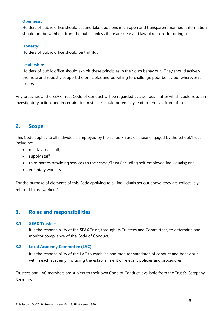#### **Openness:**

Holders of public office should act and take decisions in an open and transparent manner. Information should not be withheld from the public unless there are clear and lawful reasons for doing so.

#### **Honesty:**

Holders of public office should be truthful.

#### **Leadership:**

Holders of public office should exhibit these principles in their own behaviour. They should actively promote and robustly support the principles and be willing to challenge poor behaviour wherever it occurs.

Any breaches of the SEAX Trust Code of Conduct will be regarded as a serious matter which could result in investigatory action, and in certain circumstances could potentially lead to removal from office.

# <span id="page-5-0"></span>**2. Scope**

This Code applies to all individuals employed by the school/Trust or those engaged by the school/Trust including:

- relief/casual staff;
- supply staff;
- third parties providing services to the school/Trust (including self-employed individuals); and
- voluntary workers

For the purpose of elements of this Code applying to all individuals set out above, they are collectively referred to as "workers".

# <span id="page-5-1"></span>**3. Roles and responsibilities**

#### **3.1 SEAX Trustees**

It is the responsibility of the SEAX Trust, through its Trustees and Committees, to determine and monitor compliance of the Code of Conduct.

#### **3.2 Local Academy Committee (LAC)**

It is the responsibility of the LAC to establish and monitor standards of conduct and behaviour within each academy, including the establishment of relevant policies and procedures.

Trustees and LAC members are subject to their own Code of Conduct, available from the Trust's Company Secretary.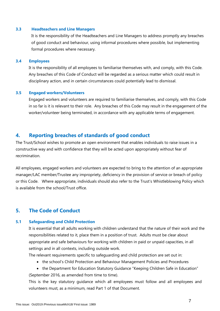#### <span id="page-6-0"></span>**3.3 Headteachers and Line Managers**

It is the responsibility of the Headteachers and Line Managers to address promptly any breaches of good conduct and behaviour, using informal procedures where possible, but implementing formal procedures where necessary.

#### <span id="page-6-1"></span>**3.4 Employees**

It is the responsibility of all employees to familiarise themselves with, and comply, with this Code. Any breaches of this Code of Conduct will be regarded as a serious matter which could result in disciplinary action, and in certain circumstances could potentially lead to dismissal.

#### <span id="page-6-2"></span>**3.5 Engaged workers/Volunteers**

Engaged workers and volunteers are required to familiarise themselves, and comply, with this Code in so far is it is relevant to their role. Any breaches of this Code may result in the engagement of the worker/volunteer being terminated, in accordance with any applicable terms of engagement.

# <span id="page-6-3"></span>**4. Reporting breaches of standards of good conduct**

The Trust/School wishes to promote an open environment that enables individuals to raise issues in a constructive way and with confidence that they will be acted upon appropriately without fear of recrimination.

All employees, engaged workers and volunteers are expected to bring to the attention of an appropriate manager/LAC member/Trustee any impropriety, deficiency in the provision of service or breach of policy or this Code. Where appropriate, individuals should also refer to the Trust's Whistleblowing Policy which is available from the school/Trust office.

# <span id="page-6-4"></span>**5. The Code of Conduct**

#### <span id="page-6-5"></span>**5.1 Safeguarding and Child Protection**

It is essential that all adults working with children understand that the nature of their work and the responsibilities related to it, place them in a position of trust. Adults must be clear about appropriate and safe behaviours for working with children in paid or unpaid capacities, in all settings and in all contexts, including outside work.

The relevant requirements specific to safeguarding and child protection are set out in:

- the school's Child Protection and Behaviour Management Policies and Procedures
- the Department for Education Statutory Guidance "Keeping Children Safe in Education" (September 2016, as amended from time to time).

This is the key statutory guidance which all employees must follow and all employees and volunteers must, as a minimum, read Part 1 of that Document.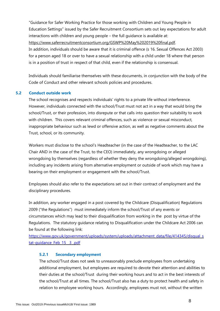"Guidance for Safer Working Practice for those working with Children and Young People in Education Settings" issued by the Safer Recruitment Consortium sets out key expectations for adult interactions with children and young people – the full guidance is available at:

[https://www.saferrecruitmentconsortium.org/GSWP%20May%202019%20final.pdf.](https://www.saferrecruitmentconsortium.org/GSWP%20May%202019%20final.pdf)

In addition, individuals should be aware that it is criminal offence (s 16. Sexual Offences Act 2003) for a person aged 18 or over to have a sexual relationship with a child under 18 where that person is in a position of trust in respect of that child, even if the relationship is consensual.

Individuals should familiarise themselves with these documents, in conjunction with the body of the Code of Conduct and other relevant schools policies and procedures.

# <span id="page-7-0"></span>**5.2 Conduct outside work**

The school recognises and respects individuals' rights to a private life without interference. However, individuals connected with the school/Trust must not act in a way that would bring the school/Trust, or their profession, into disrepute or that calls into question their suitability to work with children. This covers relevant criminal offences, such as violence or sexual misconduct, inappropriate behaviour such as lewd or offensive action, as well as negative comments about the Trust, school, or its community.

Workers must disclose to the school's Headteacher (in the case of the Headteacher, to the LAC Chair AND in the case of the Trust, to the CEO) immediately, any wrongdoing or alleged wrongdoing by themselves (regardless of whether they deny the wrongdoing/alleged wrongdoing), including any incidents arising from alternative employment or outside of work which may have a bearing on their employment or engagement with the school/Trust.

Employees should also refer to the expectations set out in their contract of employment and the disciplinary procedures.

In addition, any worker engaged in a post covered by the Childcare (Disqualification) Regulations 2009 ("the Regulations") must immediately inform the school/Trust of any events or circumstances which may lead to their disqualification from working in the post by virtue of the Regulations. The statutory guidance relating to Disqualification under the Childcare Act 2006 can be found at the following link:

<span id="page-7-1"></span>[https://www.gov.uk/government/uploads/system/uploads/attachment\\_data/file/414345/disqual\\_s](https://www.gov.uk/government/uploads/system/uploads/attachment_data/file/414345/disqual_stat-guidance_Feb_15__3_.pdf) tat-quidance Feb 15 3 .pdf

# **5.2.1 Secondary employment**

The school/Trust does not seek to unreasonably preclude employees from undertaking additional employment, but employees are required to devote their attention and abilities to their duties at the school/Trust during their working hours and to act in the best interests of the school/Trust at all times. The school/Trust also has a duty to protect health and safety in relation to employee working hours. Accordingly, employees must not, without the written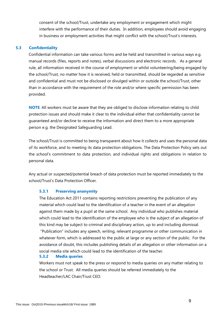consent of the school/Trust, undertake any employment or engagement which might interfere with the performance of their duties. In addition, employees should avoid engaging in business or employment activities that might conflict with the school/Trust's interests.

#### <span id="page-8-0"></span>**5.3 Confidentiality**

Confidential information can take various forms and be held and transmitted in various ways e.g. manual records (files, reports and notes), verbal discussions and electronic records. As a general rule, all information received in the course of employment or whilst volunteering/being engaged by the school/Trust, no matter how it is received, held or transmitted, should be regarded as sensitive and confidential and must not be disclosed or divulged within or outside the school/Trust, other than in accordance with the requirement of the role and/or where specific permission has been provided.

**NOTE**: All workers must be aware that they are obliged to disclose information relating to child protection issues and should make it clear to the individual either that confidentiality cannot be guaranteed and/or decline to receive the information and direct them to a more appropriate person e.g. the Designated Safeguarding Lead.

The school/Trust is committed to being transparent about how it collects and uses the personal data of its workforce, and to meeting its data protection obligations. The Data Protection Policy sets out the school's commitment to data protection, and individual rights and obligations in relation to personal data.

<span id="page-8-1"></span>Any actual or suspected/potential breach of data protection must be reported immediately to the school/Trust's Data Protection Officer.

# **5.3.1 Preserving anonymity**

The Education Act 2011 contains reporting restrictions preventing the publication of any material which could lead to the identification of a teacher in the event of an allegation against them made by a pupil at the same school. Any individual who publishes material which could lead to the identification of the employee who is the subject of an allegation of this kind may be subject to criminal and disciplinary action, up to and including dismissal. "Publication" includes any speech, writing, relevant programme or other communication in whatever form, which is addressed to the public at large or any section of the public. For the avoidance of doubt, this includes publishing details of an allegation or other information on a social media site which could lead to the identification of the teacher.

# <span id="page-8-2"></span>**5.3.2 Media queries**

Workers must not speak to the press or respond to media queries on any matter relating to the school or Trust. All media queries should be referred immediately to the Headteacher/LAC Chair/Trust CEO.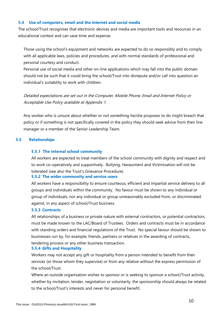#### <span id="page-9-0"></span>**5.4 Use of computers, email and the internet and social media**

The school/Trust recognises that electronic devices and media are important tools and resources in an educational context and can save time and expense.

Those using the school's equipment and networks are expected to do so responsibly and to comply with all applicable laws, policies and procedures, and with normal standards of professional and personal courtesy and conduct.

Personal use of social media and other on-line applications which may fall into the public domain should not be such that it could bring the school/Trust into disrepute and/or call into question an individual's suitability to work with children.

Detailed expectations are set out in the Computer, Mobile Phone, Email and Internet Policy or Acceptable Use Policy available at Appendix 1.

Any worker who is unsure about whether or not something he/she proposes to do might breach that policy or if something is not specifically covered in the policy they should seek advice from their line manager or a member of the Senior Leadership Team.

## <span id="page-9-2"></span><span id="page-9-1"></span>**5.5 Relationships**

## **5.5.1 The internal school community**

All workers are expected to treat members of the school community with dignity and respect and to work co-operatively and supportively. Bullying, Harassment and Victimisation will not be tolerated (see also the Trust's Grievance Procedure).

#### <span id="page-9-3"></span>**5.5.2 The wider community and service users**

All workers have a responsibility to ensure courteous, efficient and impartial service delivery to all groups and individuals within the community. No favour must be shown to any individual or group of individuals, nor any individual or group unreasonably excluded from, or discriminated against, in any aspect of school/Trust business.

## **5.5.3 Contracts**

All relationships of a business or private nature with external contractors, or potential contractors, must be made known to the LAC/Board of Trustees. Orders and contracts must be in accordance with standing orders and financial regulations of the Trust. No special favour should be shown to businesses run by, for example, friends, partners or relatives in the awarding of contracts, tendering process or any other business transaction.

#### <span id="page-9-4"></span>**5.5.4 Gifts and Hospitality**

Workers may not accept any gift or hospitality from a person intended to benefit from their services (or those whom they supervise) or from any relative without the express permission of the school/Trust.

Where an outside organisation wishes to sponsor or is seeking to sponsor a school/Trust activity, whether by invitation, tender, negotiation or voluntarily, the sponsorship should always be related to the school/Trust's interests and never for personal benefit.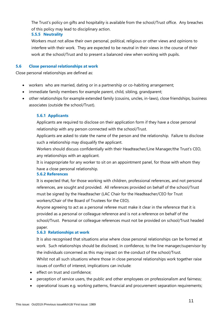The Trust's policy on gifts and hospitality is available from the school/Trust office. Any breaches of this policy may lead to disciplinary action.

# <span id="page-10-0"></span>**5.5.5 Neutrality**

Workers must not allow their own personal, political, religious or other views and opinions to interfere with their work. They are expected to be neutral in their views in the course of their work at the school/Trust and to present a balanced view when working with pupils.

# <span id="page-10-1"></span>**5.6 Close personal relationships at work**

Close personal relationships are defined as:

- workers who are married, dating or in a partnership or co-habiting arrangement;
- immediate family members for example parent, child, sibling, grandparent;
- <span id="page-10-2"></span>• other relationships for example extended family (cousins, uncles, in-laws), close friendships, business associates (outside the school/Trust).

## **5.6.1 Applicants**

Applicants are required to disclose on their application form if they have a close personal relationship with any person connected with the school/Trust.

Applicants are asked to state the name of the person and the relationship. Failure to disclose such a relationship may disqualify the applicant.

Workers should discuss confidentially with their Headteacher/Line Manager/the Trust's CEO, any relationships with an applicant.

It is inappropriate for any worker to sit on an appointment panel, for those with whom they have a close personal relationship.

#### <span id="page-10-3"></span>**5.6.2 References**

It is expected that, for those working with children, professional references, and not personal references, are sought and provided. All references provided on behalf of the school/Trust must be signed by the Headteacher (LAC Chair for the Headteacher/CEO for Trust workers/Chair of the Board of Trustees for the CEO).

Anyone agreeing to act as a personal referee must make it clear in the reference that it is provided as a personal or colleague reference and is not a reference on behalf of the school/Trust. Personal or colleague references must not be provided on school/Trust headed paper.

# <span id="page-10-4"></span>**5.6.3 Relationships at work**

It is also recognised that situations arise where close personal relationships can be formed at work. Such relationships should be disclosed, in confidence, to the line manager/supervisor by the individuals concerned as this may impact on the conduct of the school/Trust. Whilst not all such situations where those in close personal relationships work together raise issues of conflict of interest, implications can include:

- effect on trust and confidence;
- perception of service users, the public and other employees on professionalism and fairness;
- operational issues e.g. working patterns, financial and procurement separation requirements;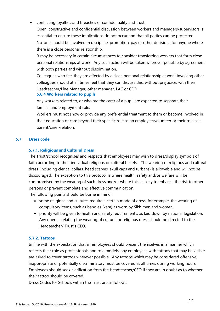• conflicting loyalties and breaches of confidentiality and trust.

Open, constructive and confidential discussion between workers and managers/supervisors is essential to ensure these implications do not occur and that all parties can be protected. No-one should be involved in discipline, promotion, pay or other decisions for anyone where there is a close personal relationship.

It may be necessary in certain circumstances to consider transferring workers that form close personal relationships at work. Any such action will be taken wherever possible by agreement with both parties and without discrimination.

Colleagues who feel they are affected by a close personal relationship at work involving other colleagues should at all times feel that they can discuss this, without prejudice, with their Headteacher/Line Manager, other manager, LAC or CEO.

# <span id="page-11-0"></span>**5.6.4 Workers related to pupils**

Any workers related to, or who are the carer of a pupil are expected to separate their familial and employment role.

Workers must not show or provide any preferential treatment to them or become involved in their education or care beyond their specific role as an employee/volunteer or their role as a parent/carer/relation.

# <span id="page-11-1"></span>**5.7 Dress code**

# **5.7.1. Religious and Cultural Dress**

The Trust/school recognises and respects that employees may wish to dress/display symbols of faith according to their individual religious or cultural beliefs. The wearing of religious and cultural dress (including clerical collars, head scarves, skull caps and turbans) is allowable and will not be discouraged. The exception to this protocol is where health, safety and/or welfare will be compromised by the wearing of such dress and/or where this is likely to enhance the risk to other persons or prevent complete and effective communication.

The following points should be borne in mind:

- some religions and cultures require a certain mode of dress; for example, the wearing of compulsory items, such as bangles (kara) as worn by Sikh men and women.
- priority will be given to health and safety requirements, as laid down by national legislation. Any queries relating the wearing of cultural or religious dress should be directed to the Headteacher/ Trust's CEO.

# **5.7.2. Tattoos**

In line with the expectation that all employees should present themselves in a manner which reflects their role as professionals and role models, any employees with tattoos that may be visible are asked to cover tattoos wherever possible. Any tattoos which may be considered offensive, inappropriate or potentially discriminatory must be covered at all times during working hours. Employees should seek clarification from the Headteacher/CEO if they are in doubt as to whether their tattoo should be covered.

Dress Codes for Schools within the Trust are as follows: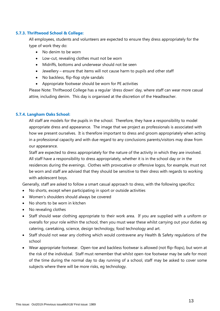## **5.7.3. Thriftwood School & College:**

All employees, students and volunteers are expected to ensure they dress appropriately for the type of work they do:

- No denim to be worn
- Low-cut, revealing clothes must not be worn
- Midriffs, bottoms and underwear should not be seen
- Jewellery ensure that items will not cause harm to pupils and other staff
- No backless, flip-flop style sandals
- Appropriate footwear should be worn for PE activities

Please Note: Thriftwood College has a regular 'dress down' day, where staff can wear more casual attire, including denim. This day is organised at the discretion of the Headteacher.

## **5.7.4. Langham Oaks School:**

All staff are models for the pupils in the school. Therefore, they have a responsibility to model appropriate dress and appearance. The image that we project as professionals is associated with how we present ourselves. It is therefore important to dress and groom appropriately when acting in a professional capacity and with due regard to any conclusions parents/visitors may draw from our appearance.

Staff are expected to dress appropriately for the nature of the activity in which they are involved. All staff have a responsibility to dress appropriately, whether it is in the school day or in the residences during the evenings. Clothes with provocative or offensive logos, for example, must not be worn and staff are advised that they should be sensitive to their dress with regards to working with adolescent boys.

Generally, staff are asked to follow a smart casual approach to dress, with the following specifics:

- No shorts, except when participating in sport or outside activities
- Women's shoulders should always be covered
- No shorts to be worn in kitchen
- No revealing clothes
- Staff should wear clothing appropriate to their work area. If you are supplied with a uniform or overalls for your role within the school, then you must wear these whilst carrying out your duties eg catering, caretaking, science, design technology, food technology and art.
- Staff should not wear any clothing which would contravene any Health & Safety regulations of the school
- Wear appropriate footwear. Open-toe and backless footwear is allowed (not flip-flops), but worn at the risk of the individual. Staff must remember that whilst open-toe footwear may be safe for most of the time during the normal day to day running of a school, staff may be asked to cover some subjects where there will be more risks, eg technology.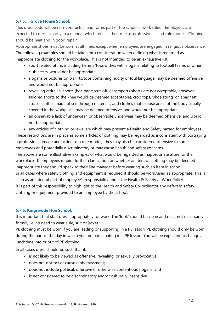# **5.7.5. Grove House School:**

This dress code will be non-contractual and forms part of the school's 'work rules'.Employees are expected to dress smartly in a manner which reflects their role as professionals and role models. Clothing should be neat and in good repair.

Appropriate shoes must be worn at all times except when employees are engaged in religious observance. The following examples should be taken into consideration when defining what is regarded as inappropriate clothing for the workplace. This is not intended to be an exhaustive list.

- sport related attire, including t-shirts/tops or ties with slogans relating to football teams or other club crests, would not be appropriate
- slogans or pictures on t-shirts/tops containing nudity or foul language, may be deemed offensive, and would not be appropriate
- revealing attire i.e. shorts (hot-pants/cut-off jeans/sports shorts are not acceptable, however tailored shorts to the knee would be deemed acceptable), crop tops, 'shoe string' or 'spaghetti' straps, clothes made of see through materials, and clothes that expose areas of the body usually covered in the workplace, may be deemed offensive, and would not be appropriate
- an observable lack of underwear, or observable underwear may be deemed offensive, and would not be appropriate

• any articles of clothing or jewellery which may present a Health and Safety hazard for employees These restrictions are in place as some articles of clothing may be regarded as inconsistent with portraying a professional image and acting as a role model, they may also be considered offensive to some employees and potentially discriminatory or may cause health and safety concerns.

The above are some illustrative examples of what would be regarded as inappropriate attire for the workplace. If employees require further clarification on whether an item of clothing may be deemed inappropriate they should speak to their line manager before wearing such an item in school. In all cases where safety clothing and equipment is required it should be worn/used as appropriate. This is seen as an integral part of employee's responsibility under the Health & Safety at Work Policy. It is part of this responsibility to highlight to the Health and Safety Co-ordinator any defect in safety clothing or equipment provided to an employee by the school.

# **5.7.6. Kingswode Hoe School:**

It is important that staff dress appropriately for work. The 'look' should be clean and neat, not necessarily formal, i.e. no need to wear a tie, suit or jacket.

PE clothing must be worn if you are leading or supporting in a PE lesson. PE clothing should only be worn during the part of the day in which you are participating in a PE lesson. You will be expected to change at lunchtime into or out of PE clothing.

In all cases dress should be such that it:

- is not likely to be viewed as offensive, revealing, or sexually provocative;
- does not distract or cause embarrassment;
- does not include political, offensive or otherwise contentious slogans; and
- is not considered to be discriminatory and/or culturally insensitive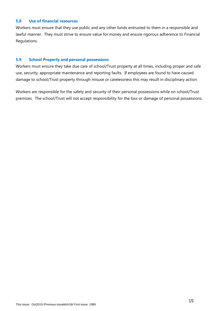#### <span id="page-14-0"></span>**5.8 Use of financial resources**

Workers must ensure that they use public and any other funds entrusted to them in a responsible and lawful manner. They must strive to ensure value for money and ensure rigorous adherence to Financial Regulations.

## <span id="page-14-1"></span>**5.9 School Property and personal possessions**

Workers must ensure they take due care of school/Trust property at all times, including proper and safe use, security, appropriate maintenance and reporting faults. If employees are found to have caused damage to school/Trust property through misuse or carelessness this may result in disciplinary action.

<span id="page-14-2"></span>Workers are responsible for the safety and security of their personal possessions while on school/Trust premises. The school/Trust will not accept responsibility for the loss or damage of personal possessions.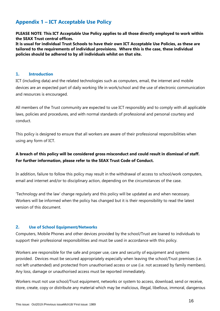# **Appendix 1 – ICT Acceptable Use Policy**

**PLEASE NOTE**: **This ICT Acceptable Use Policy applies to all those directly employed to work within the SEAX Trust central offices.** 

**It is usual for individual Trust Schools to have their own ICT Acceptable Use Policies, as these are tailored to the requirements of individual provisions. Where this is the case, these individual policies should be adhered to by all individuals whilst on that site.**

# **1. Introduction**

ICT (including data) and the related technologies such as computers, email, the internet and mobile devices are an expected part of daily working life in work/school and the use of electronic communication and resources is encouraged.

All members of the Trust community are expected to use ICT responsibly and to comply with all applicable laws, policies and procedures, and with normal standards of professional and personal courtesy and conduct.

This policy is designed to ensure that all workers are aware of their professional responsibilities when using any form of ICT.

# **A breach of this policy will be considered gross misconduct and could result in dismissal of staff. For further information, please refer to the SEAX Trust Code of Conduct.**

In addition, failure to follow this policy may result in the withdrawal of access to school/work computers, email and internet and/or to disciplinary action, depending on the circumstances of the case.

'Technology and the law' change regularly and this policy will be updated as and when necessary. Workers will be informed when the policy has changed but it is their responsibility to read the latest version of this document.

#### **2. Use of School Equipment/Networks**

Computers, Mobile Phones and other devices provided by the school/Trust are loaned to individuals to support their professional responsibilities and must be used in accordance with this policy.

Workers are responsible for the safe and proper use, care and security of equipment and systems provided. Devices must be secured appropriately especially when leaving the school/Trust premises (i.e. not left unattended) and protected from unauthorised access or use (i.e. not accessed by family members). Any loss, damage or unauthorised access must be reported immediately.

Workers must not use school/Trust equipment, networks or system to access, download, send or receive, store, create, copy or distribute any material which may be malicious, illegal, libellous, immoral, dangerous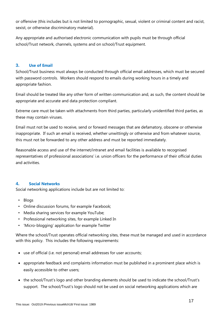or offensive (this includes but is not limited to pornographic, sexual, violent or criminal content and racist, sexist, or otherwise discriminatory material).

Any appropriate and authorised electronic communication with pupils must be through official school/Trust network, channels, systems and on school/Trust equipment.

## **3. Use of Email**

School/Trust business must always be conducted through official email addresses, which must be secured with password controls. Workers should respond to emails during working hours in a timely and appropriate fashion.

Email should be treated like any other form of written communication and, as such, the content should be appropriate and accurate and data protection compliant.

Extreme care must be taken with attachments from third parties, particularly unidentified third parties, as these may contain viruses.

Email must not be used to receive, send or forward messages that are defamatory, obscene or otherwise inappropriate. If such an email is received, whether unwittingly or otherwise and from whatever source, this must not be forwarded to any other address and must be reported immediately.

Reasonable access and use of the internet/intranet and email facilities is available to recognised representatives of professional associations' i.e. union officers for the performance of their official duties and activities.

# **4. Social Networks**

Social networking applications include but are not limited to:

- Blogs
- Online discussion forums, for example Facebook;
- Media sharing services for example YouTube;
- Professional networking sites, for example Linked In
- 'Micro-blogging' application for example Twitter

Where the school/Trust operates official networking sites, these must be managed and used in accordance with this policy. This includes the following requirements:

- use of official (i.e. not personal) email addresses for user accounts;
- appropriate feedback and complaints information must be published in a prominent place which is easily accessible to other users;
- the school/Trust's logo and other branding elements should be used to indicate the school/Trust's support. The school/Trust's logo should not be used on social networking applications which are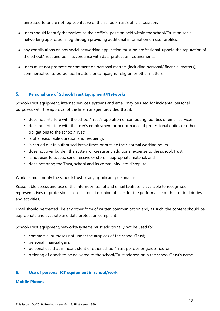unrelated to or are not representative of the school/Trust's official position;

- users should identify themselves as their official position held within the school/Trust on social networking applications eg through providing additional information on user profiles;
- any contributions on any social networking application must be professional, uphold the reputation of the school/Trust and be in accordance with data protection requirements;
- users must not promote or comment on personal matters (including personal/ financial matters), commercial ventures, political matters or campaigns, religion or other matters.

# **5. Personal use of School/Trust Equipment/Networks**

School/Trust equipment, internet services, systems and email may be used for incidental personal purposes, with the approval of the line manager, provided that it:

- does not interfere with the school/Trust's operation of computing facilities or email services;
- does not interfere with the user's employment or performance of professional duties or other obligations to the school/Trust;
- is of a reasonable duration and frequency;
- is carried out in authorised break times or outside their normal working hours;
- does not over burden the system or create any additional expense to the school/Trust;
- is not uses to access, send, receive or store inappropriate material; and
- does not bring the Trust, school and its community into disrepute.

Workers must notify the school/Trust of any significant personal use.

Reasonable access and use of the internet/intranet and email facilities is available to recognised representatives of professional associations' i.e. union officers for the performance of their official duties and activities.

Email should be treated like any other form of written communication and, as such, the content should be appropriate and accurate and data protection compliant.

School/Trust equipment/networks/systems must additionally not be used for

- commercial purposes not under the auspices of the school/Trust;
- personal financial gain;
- personal use that is inconsistent of other school/Trust policies or guidelines; or
- ordering of goods to be delivered to the school/Trust address or in the school/Trust's name.

# **6. Use of personal ICT equipment in school/work**

#### **Mobile Phones**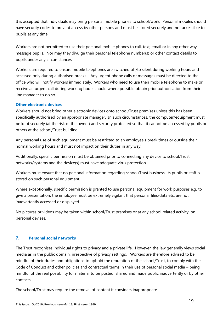It is accepted that individuals may bring personal mobile phones to school/work. Personal mobiles should have security codes to prevent access by other persons and must be stored securely and not accessible to pupils at any time.

Workers are not permitted to use their personal mobile phones to call, text, email or in any other way message pupils. Nor may they divulge their personal telephone number(s) or other contact details to pupils under any circumstances.

Workers are required to ensure mobile telephones are switched off/to silent during working hours and accessed only during authorised breaks. Any urgent phone calls or messages must be directed to the office who will notify workers immediately. Workers who need to use their mobile telephone to make or receive an urgent call during working hours should where possible obtain prior authorisation from their line manager to do so.

# **Other electronic devices**

Workers should not bring other electronic devices onto school/Trust premises unless this has been specifically authorised by an appropriate manager. In such circumstances, the computer/equipment must be kept securely (at the risk of the owner) and security protected so that it cannot be accessed by pupils or others at the school/Trust building.

Any personal use of such equipment must be restricted to an employee's break times or outside their normal working hours and must not impact on their duties in any way.

Additionally, specific permission must be obtained prior to connecting any device to school/Trust networks/systems and the device(s) must have adequate virus protection.

Workers must ensure that no personal information regarding school/Trust business, its pupils or staff is stored on such personal equipment.

Where exceptionally, specific permission is granted to use personal equipment for work purposes e.g. to give a presentation, the employee must be extremely vigilant that personal files/data etc. are not inadvertently accessed or displayed.

No pictures or videos may be taken within school/Trust premises or at any school related activity, on personal devises.

# **7. Personal social networks**

The Trust recognises individual rights to privacy and a private life. However, the law generally views social media as in the public domain, irrespective of privacy settings. Workers are therefore advised to be mindful of their duties and obligations to uphold the reputation of the school/Trust, to comply with the Code of Conduct and other policies and contractual terms in their use of personal social media – being mindful of the real possibility for material to be posted, shared and made public inadvertently or by other contacts.

The school/Trust may require the removal of content it considers inappropriate.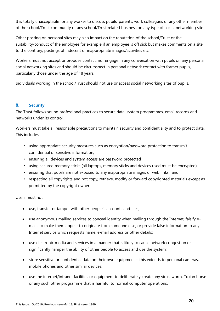It is totally unacceptable for any worker to discuss pupils, parents, work colleagues or any other member of the school/Trust community or any school/Trust related business on any type of social networking site.

Other posting on personal sites may also impact on the reputation of the school/Trust or the suitability/conduct of the employee for example if an employee is off sick but makes comments on a site to the contrary, postings of indecent or inappropriate images/activities etc.

Workers must not accept or propose contact, nor engage in any conversation with pupils on any personal social networking sites and should be circumspect in personal network contact with former pupils, particularly those under the age of 18 years.

Individuals working in the school/Trust should not use or access social networking sites of pupils.

# **8. Security**

The Trust follows sound professional practices to secure data, system programmes, email records and networks under its control.

Workers must take all reasonable precautions to maintain security and confidentiality and to protect data. This includes:

- using appropriate security measures such as encryption/password protection to transmit confidential or sensitive information;
- ensuring all devices and system access are password protected
- using secured memory sticks (all laptops, memory sticks and devices used must be encrypted);
- ensuring that pupils are not exposed to any inappropriate images or web links; and
- respecting all copyrights and not copy, retrieve, modify or forward copyrighted materials except as permitted by the copyright owner.

# Users must not:

- use, transfer or tamper with other people's accounts and files;
- use anonymous mailing services to conceal identity when mailing through the Internet, falsify emails to make them appear to originate from someone else, or provide false information to any Internet service which requests name, e-mail address or other details;
- use electronic media and services in a manner that is likely to cause network congestion or significantly hamper the ability of other people to access and use the system;
- store sensitive or confidential data on their own equipment this extends to personal cameras, mobile phones and other similar devices;
- use the internet/intranet facilities or equipment to deliberately create any virus, worm, Trojan horse or any such other programme that is harmful to normal computer operations.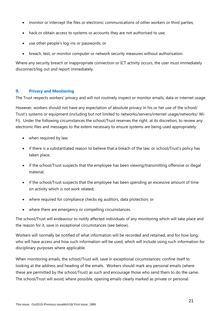- monitor or intercept the files or electronic communications of other workers or third parties;
- hack or obtain access to systems or accounts they are not authorised to use;
- use other people's log-ins or passwords; or
- breach, test, or monitor computer or network security measures without authorisation.

Where any security breach or inappropriate connection or ICT activity occurs, the user must immediately disconnect/log out and report immediately.

## **9. Privacy and Monitoring**

The Trust respects workers' privacy and will not routinely inspect or monitor emails, data or internet usage.

However, workers should not have any expectation of absolute privacy in his or her use of the school/ Trust's systems or equipment (including but not limited to networks/servers/internet usage/networks/ Wi-Fi). Under the following circumstances the school/Trust reserves the right, at its discretion, to review any electronic files and messages to the extent necessary to ensure systems are being used appropriately:

- when required by law;
- if there is a substantiated reason to believe that a breach of the law; or school/Trust's policy has taken place;
- if the school/Trust suspects that the employee has been viewing/transmitting offensive or illegal material;
- if the school/Trust suspects that the employee has been spending an excessive amount of time on activity which is not work related;
- where required for compliance checks eg auditors, data protection; or
- where there are emergency or compelling circumstances.

The school/Trust will endeavour to notify affected individuals of any monitoring which will take place and the reason for it, save in exceptional circumstances (see below).

Workers will normally be notified of what information will be recorded and retained, and for how long, who will have access and how such information will be used, which will include using such information for disciplinary purposes where applicable.

When monitoring emails, the school/Trust will, save in exceptional circumstances; confine itself to looking at the address and heading of the emails. Workers should mark any personal emails (where these are permitted by the school/Trust) as such and encourage those who send them to do the same. The school/Trust will avoid, where possible, opening emails clearly marked as private or personal.